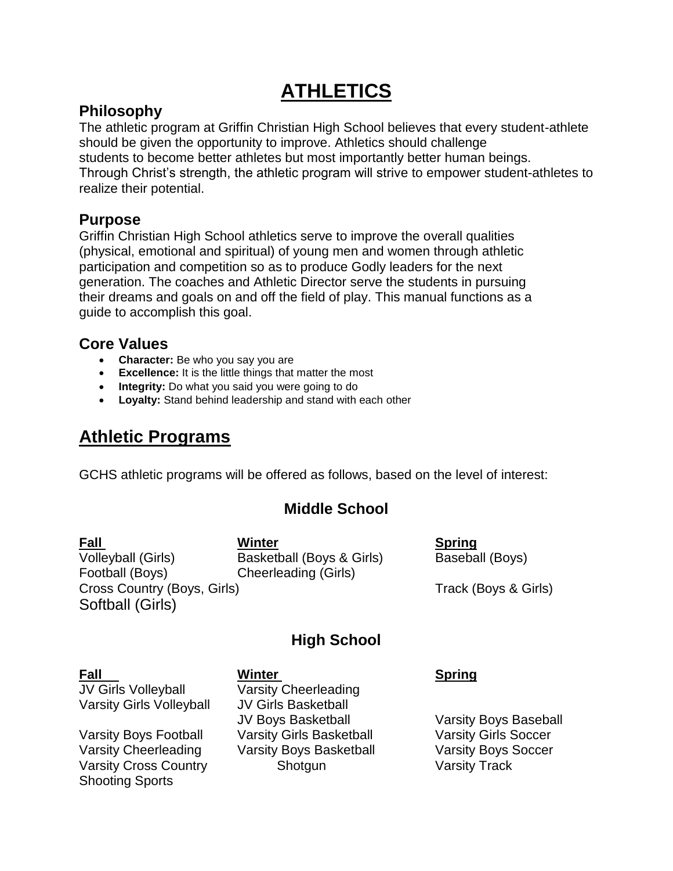# **ATHLETICS**

#### **Philosophy**

The athletic program at Griffin Christian High School believes that every student-athlete should be given the opportunity to improve. Athletics should challenge students to become better athletes but most importantly better human beings. Through Christ's strength, the athletic program will strive to empower student-athletes to realize their potential.

#### **Purpose**

Griffin Christian High School athletics serve to improve the overall qualities (physical, emotional and spiritual) of young men and women through athletic participation and competition so as to produce Godly leaders for the next generation. The coaches and Athletic Director serve the students in pursuing their dreams and goals on and off the field of play. This manual functions as a guide to accomplish this goal.

#### **Core Values**

- **Character:** Be who you say you are
- **Excellence:** It is the little things that matter the most
- **Integrity:** Do what you said you were going to do
- **Loyalty:** Stand behind leadership and stand with each other

# **Athletic Programs**

GCHS athletic programs will be offered as follows, based on the level of interest:

## **Middle School**

**Fall Winter Spring** Volleyball (Girls) Basketball (Boys & Girls) Baseball (Boys) Football (Boys) Cheerleading (Girls) Cross Country (Boys, Girls) Track (Boys & Girls) Softball (Girls)

## **High School**

JV Girls Volleyball Varsity Cheerleading Varsity Girls Volleyball JV Girls Basketball

Shooting Sports

#### **Fall Winter Spring**

JV Boys Basketball Varsity Boys Baseball Varsity Boys Football Varsity Girls Basketball Varsity Girls Soccer Varsity Cheerleading Varsity Boys Basketball Varsity Boys Soccer Varsity Cross Country **Shotgun** Shotgun Varsity Track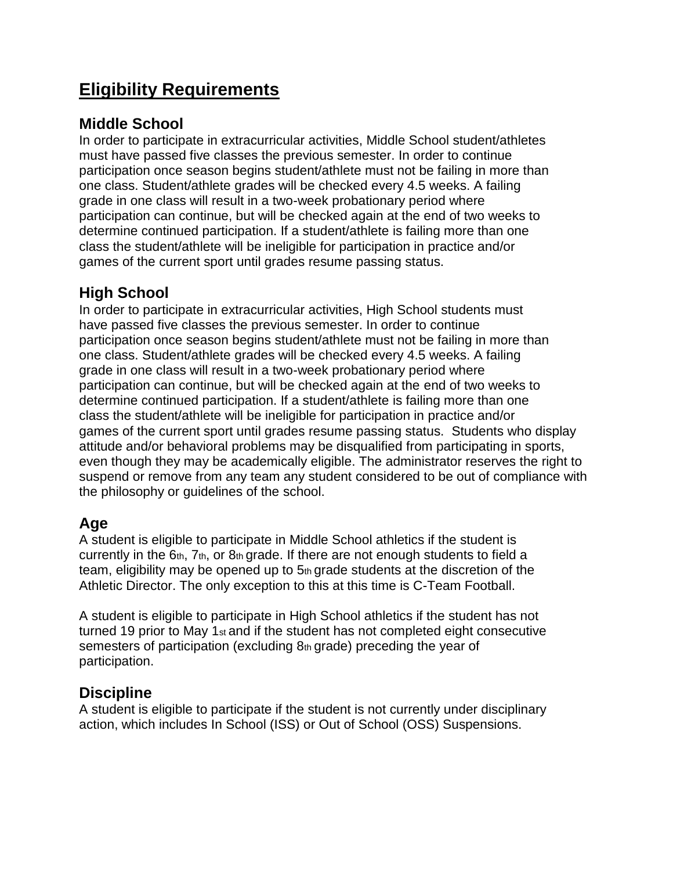# **Eligibility Requirements**

#### **Middle School**

In order to participate in extracurricular activities, Middle School student/athletes must have passed five classes the previous semester. In order to continue participation once season begins student/athlete must not be failing in more than one class. Student/athlete grades will be checked every 4.5 weeks. A failing grade in one class will result in a two-week probationary period where participation can continue, but will be checked again at the end of two weeks to determine continued participation. If a student/athlete is failing more than one class the student/athlete will be ineligible for participation in practice and/or games of the current sport until grades resume passing status.

#### **High School**

In order to participate in extracurricular activities, High School students must have passed five classes the previous semester. In order to continue participation once season begins student/athlete must not be failing in more than one class. Student/athlete grades will be checked every 4.5 weeks. A failing grade in one class will result in a two-week probationary period where participation can continue, but will be checked again at the end of two weeks to determine continued participation. If a student/athlete is failing more than one class the student/athlete will be ineligible for participation in practice and/or games of the current sport until grades resume passing status. Students who display attitude and/or behavioral problems may be disqualified from participating in sports, even though they may be academically eligible. The administrator reserves the right to suspend or remove from any team any student considered to be out of compliance with the philosophy or guidelines of the school.

#### **Age**

A student is eligible to participate in Middle School athletics if the student is currently in the  $6<sub>th</sub>$ ,  $7<sub>th</sub>$ , or  $8<sub>th</sub>$  grade. If there are not enough students to field a team, eligibility may be opened up to  $5<sub>th</sub>$  grade students at the discretion of the Athletic Director. The only exception to this at this time is C-Team Football.

A student is eligible to participate in High School athletics if the student has not turned 19 prior to May 1<sub>st</sub> and if the student has not completed eight consecutive semesters of participation (excluding 8th grade) preceding the year of participation.

#### **Discipline**

A student is eligible to participate if the student is not currently under disciplinary action, which includes In School (ISS) or Out of School (OSS) Suspensions.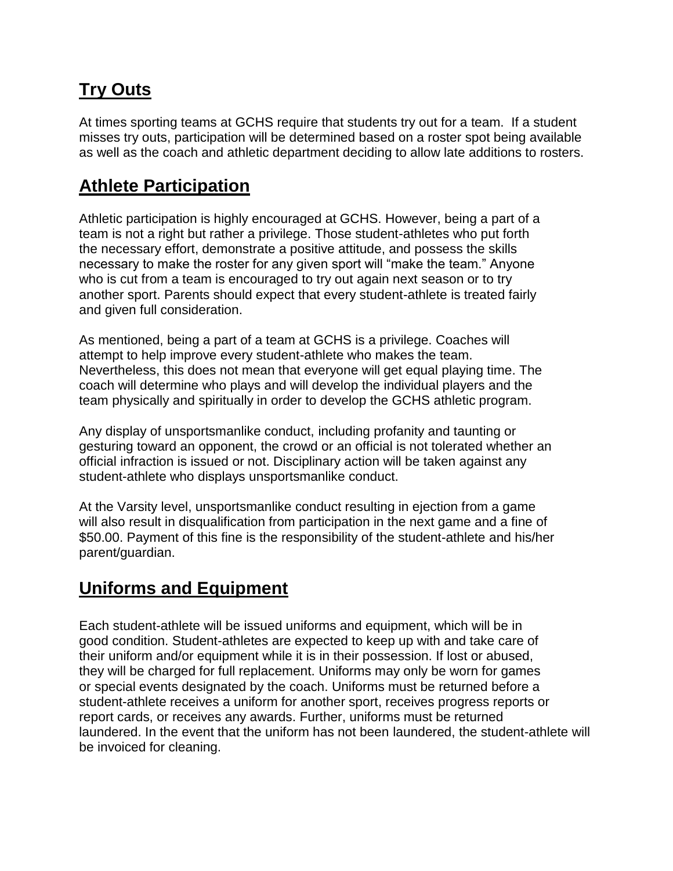# **Try Outs**

At times sporting teams at GCHS require that students try out for a team. If a student misses try outs, participation will be determined based on a roster spot being available as well as the coach and athletic department deciding to allow late additions to rosters.

## **Athlete Participation**

Athletic participation is highly encouraged at GCHS. However, being a part of a team is not a right but rather a privilege. Those student-athletes who put forth the necessary effort, demonstrate a positive attitude, and possess the skills necessary to make the roster for any given sport will "make the team." Anyone who is cut from a team is encouraged to try out again next season or to try another sport. Parents should expect that every student-athlete is treated fairly and given full consideration.

As mentioned, being a part of a team at GCHS is a privilege. Coaches will attempt to help improve every student-athlete who makes the team. Nevertheless, this does not mean that everyone will get equal playing time. The coach will determine who plays and will develop the individual players and the team physically and spiritually in order to develop the GCHS athletic program.

Any display of unsportsmanlike conduct, including profanity and taunting or gesturing toward an opponent, the crowd or an official is not tolerated whether an official infraction is issued or not. Disciplinary action will be taken against any student-athlete who displays unsportsmanlike conduct.

At the Varsity level, unsportsmanlike conduct resulting in ejection from a game will also result in disqualification from participation in the next game and a fine of \$50.00. Payment of this fine is the responsibility of the student-athlete and his/her parent/guardian.

## **Uniforms and Equipment**

Each student-athlete will be issued uniforms and equipment, which will be in good condition. Student-athletes are expected to keep up with and take care of their uniform and/or equipment while it is in their possession. If lost or abused, they will be charged for full replacement. Uniforms may only be worn for games or special events designated by the coach. Uniforms must be returned before a student-athlete receives a uniform for another sport, receives progress reports or report cards, or receives any awards. Further, uniforms must be returned laundered. In the event that the uniform has not been laundered, the student-athlete will be invoiced for cleaning.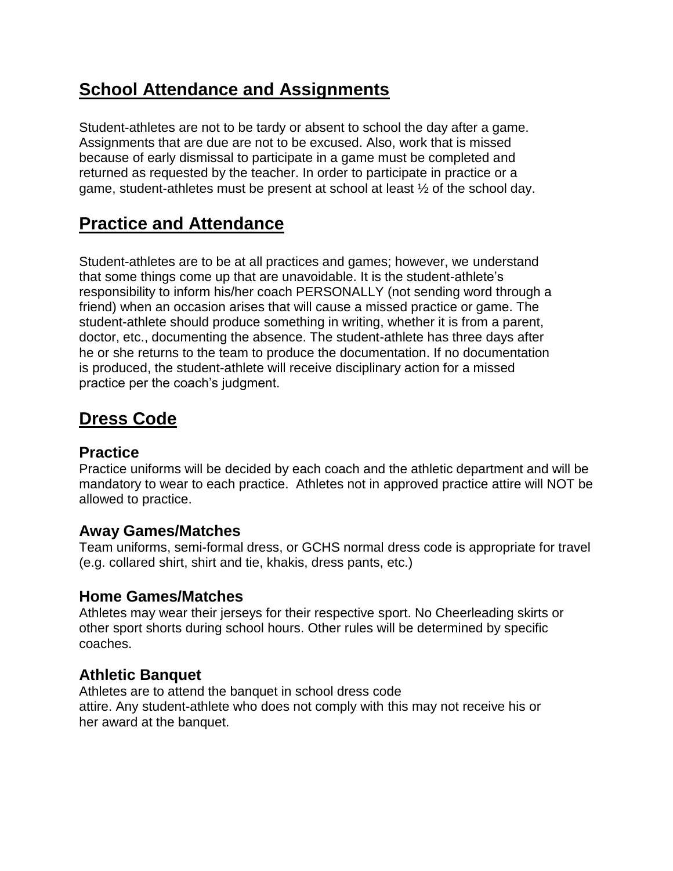## **School Attendance and Assignments**

Student-athletes are not to be tardy or absent to school the day after a game. Assignments that are due are not to be excused. Also, work that is missed because of early dismissal to participate in a game must be completed and returned as requested by the teacher. In order to participate in practice or a game, student-athletes must be present at school at least ½ of the school day.

# **Practice and Attendance**

Student-athletes are to be at all practices and games; however, we understand that some things come up that are unavoidable. It is the student-athlete's responsibility to inform his/her coach PERSONALLY (not sending word through a friend) when an occasion arises that will cause a missed practice or game. The student-athlete should produce something in writing, whether it is from a parent, doctor, etc., documenting the absence. The student-athlete has three days after he or she returns to the team to produce the documentation. If no documentation is produced, the student-athlete will receive disciplinary action for a missed practice per the coach's judgment.

# **Dress Code**

#### **Practice**

Practice uniforms will be decided by each coach and the athletic department and will be mandatory to wear to each practice. Athletes not in approved practice attire will NOT be allowed to practice.

#### **Away Games/Matches**

Team uniforms, semi-formal dress, or GCHS normal dress code is appropriate for travel (e.g. collared shirt, shirt and tie, khakis, dress pants, etc.)

#### **Home Games/Matches**

Athletes may wear their jerseys for their respective sport. No Cheerleading skirts or other sport shorts during school hours. Other rules will be determined by specific coaches.

#### **Athletic Banquet**

Athletes are to attend the banquet in school dress code attire. Any student-athlete who does not comply with this may not receive his or her award at the banquet.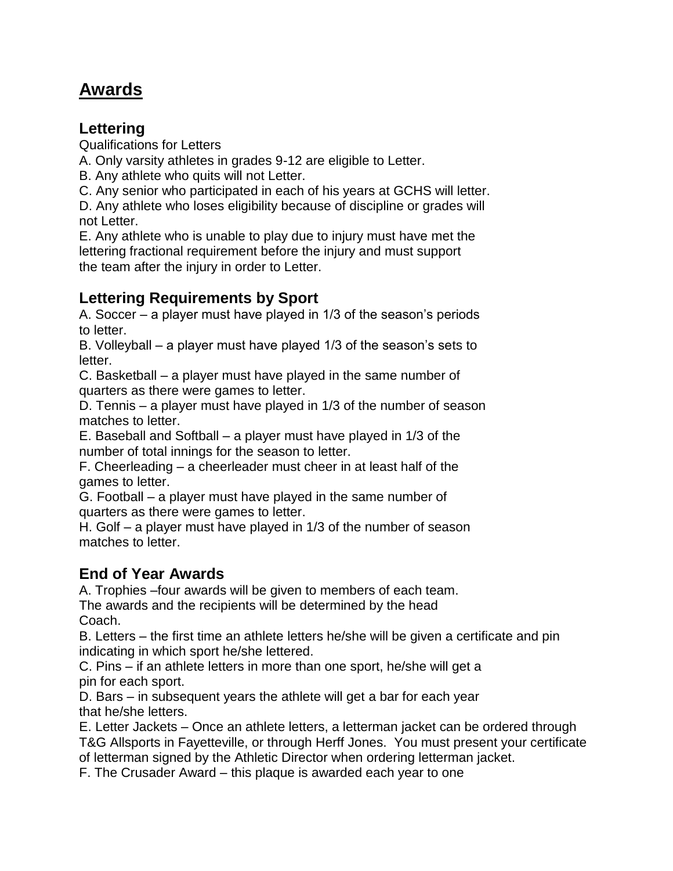## **Awards**

#### **Lettering**

Qualifications for Letters

A. Only varsity athletes in grades 9-12 are eligible to Letter.

- B. Any athlete who quits will not Letter.
- C. Any senior who participated in each of his years at GCHS will letter.

D. Any athlete who loses eligibility because of discipline or grades will not Letter.

E. Any athlete who is unable to play due to injury must have met the lettering fractional requirement before the injury and must support the team after the injury in order to Letter.

## **Lettering Requirements by Sport**

A. Soccer – a player must have played in 1/3 of the season's periods to letter.

B. Volleyball – a player must have played 1/3 of the season's sets to letter.

C. Basketball – a player must have played in the same number of quarters as there were games to letter.

D. Tennis – a player must have played in 1/3 of the number of season matches to letter.

E. Baseball and Softball – a player must have played in 1/3 of the number of total innings for the season to letter.

F. Cheerleading – a cheerleader must cheer in at least half of the games to letter.

G. Football – a player must have played in the same number of quarters as there were games to letter.

H. Golf – a player must have played in 1/3 of the number of season matches to letter.

## **End of Year Awards**

A. Trophies –four awards will be given to members of each team.

The awards and the recipients will be determined by the head Coach.

B. Letters – the first time an athlete letters he/she will be given a certificate and pin indicating in which sport he/she lettered.

C. Pins – if an athlete letters in more than one sport, he/she will get a pin for each sport.

D. Bars – in subsequent years the athlete will get a bar for each year that he/she letters.

E. Letter Jackets – Once an athlete letters, a letterman jacket can be ordered through T&G Allsports in Fayetteville, or through Herff Jones. You must present your certificate of letterman signed by the Athletic Director when ordering letterman jacket.

F. The Crusader Award – this plaque is awarded each year to one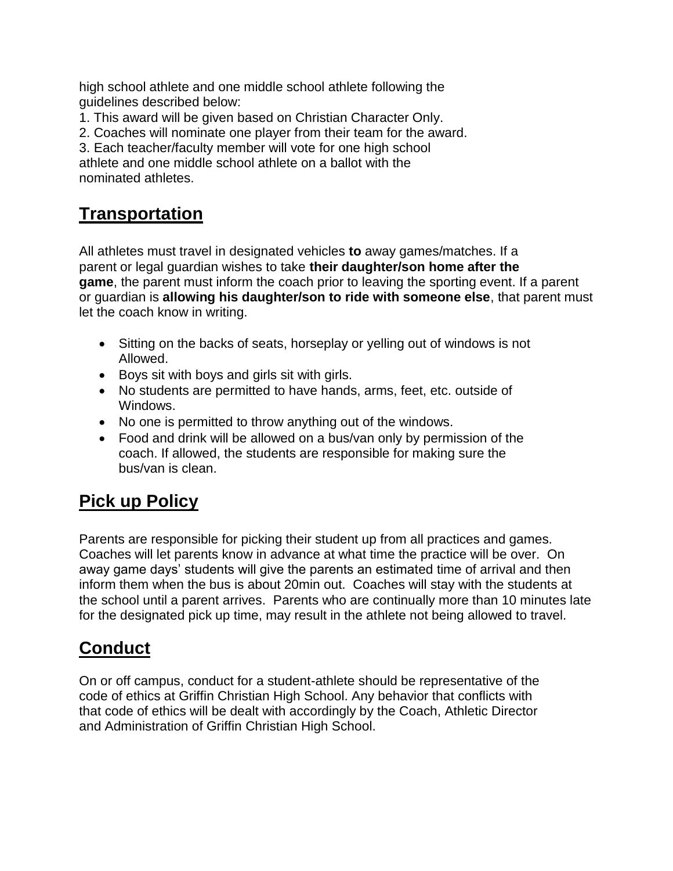high school athlete and one middle school athlete following the guidelines described below:

1. This award will be given based on Christian Character Only.

2. Coaches will nominate one player from their team for the award.

3. Each teacher/faculty member will vote for one high school athlete and one middle school athlete on a ballot with the nominated athletes.

## **Transportation**

All athletes must travel in designated vehicles **to** away games/matches. If a parent or legal guardian wishes to take **their daughter/son home after the game**, the parent must inform the coach prior to leaving the sporting event. If a parent or guardian is **allowing his daughter/son to ride with someone else**, that parent must let the coach know in writing.

- Sitting on the backs of seats, horseplay or yelling out of windows is not Allowed.
- Boys sit with boys and girls sit with girls.
- No students are permitted to have hands, arms, feet, etc. outside of Windows.
- No one is permitted to throw anything out of the windows.
- Food and drink will be allowed on a bus/van only by permission of the coach. If allowed, the students are responsible for making sure the bus/van is clean.

## **Pick up Policy**

Parents are responsible for picking their student up from all practices and games. Coaches will let parents know in advance at what time the practice will be over. On away game days' students will give the parents an estimated time of arrival and then inform them when the bus is about 20min out. Coaches will stay with the students at the school until a parent arrives. Parents who are continually more than 10 minutes late for the designated pick up time, may result in the athlete not being allowed to travel.

## **Conduct**

On or off campus, conduct for a student-athlete should be representative of the code of ethics at Griffin Christian High School. Any behavior that conflicts with that code of ethics will be dealt with accordingly by the Coach, Athletic Director and Administration of Griffin Christian High School.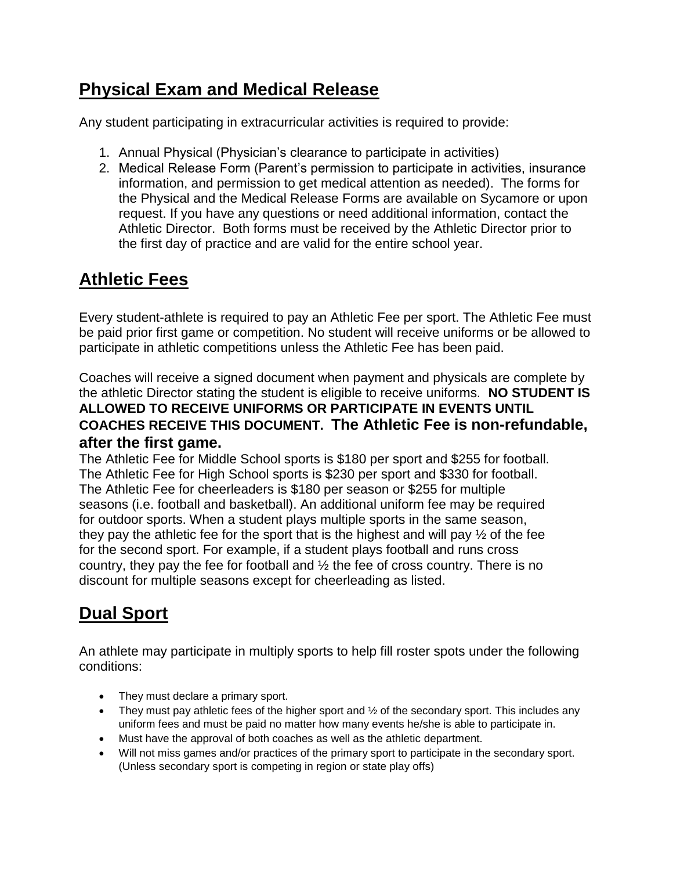# **Physical Exam and Medical Release**

Any student participating in extracurricular activities is required to provide:

- 1. Annual Physical (Physician's clearance to participate in activities)
- 2. Medical Release Form (Parent's permission to participate in activities, insurance information, and permission to get medical attention as needed). The forms for the Physical and the Medical Release Forms are available on Sycamore or upon request. If you have any questions or need additional information, contact the Athletic Director. Both forms must be received by the Athletic Director prior to the first day of practice and are valid for the entire school year.

# **Athletic Fees**

Every student-athlete is required to pay an Athletic Fee per sport. The Athletic Fee must be paid prior first game or competition. No student will receive uniforms or be allowed to participate in athletic competitions unless the Athletic Fee has been paid.

Coaches will receive a signed document when payment and physicals are complete by the athletic Director stating the student is eligible to receive uniforms. **NO STUDENT IS ALLOWED TO RECEIVE UNIFORMS OR PARTICIPATE IN EVENTS UNTIL COACHES RECEIVE THIS DOCUMENT. The Athletic Fee is non-refundable, after the first game.**

The Athletic Fee for Middle School sports is \$180 per sport and \$255 for football. The Athletic Fee for High School sports is \$230 per sport and \$330 for football. The Athletic Fee for cheerleaders is \$180 per season or \$255 for multiple seasons (i.e. football and basketball). An additional uniform fee may be required for outdoor sports. When a student plays multiple sports in the same season, they pay the athletic fee for the sport that is the highest and will pay ½ of the fee for the second sport. For example, if a student plays football and runs cross country, they pay the fee for football and ½ the fee of cross country. There is no discount for multiple seasons except for cheerleading as listed.

# **Dual Sport**

An athlete may participate in multiply sports to help fill roster spots under the following conditions:

- They must declare a primary sport.
- They must pay athletic fees of the higher sport and  $\frac{1}{2}$  of the secondary sport. This includes any uniform fees and must be paid no matter how many events he/she is able to participate in.
- Must have the approval of both coaches as well as the athletic department.
- Will not miss games and/or practices of the primary sport to participate in the secondary sport. (Unless secondary sport is competing in region or state play offs)